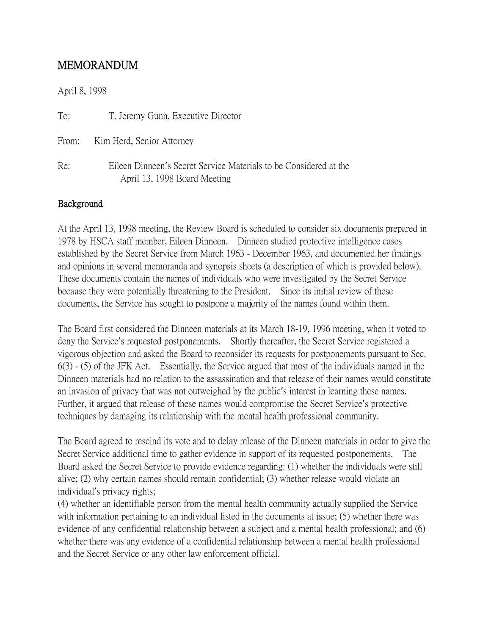# MEMORANDUM

April 8, 1998

| To:   | T. Jeremy Gunn, Executive Director                                                                |
|-------|---------------------------------------------------------------------------------------------------|
| From: | Kim Herd, Senior Attorney                                                                         |
| Re:   | Eileen Dinneen's Secret Service Materials to be Considered at the<br>April 13, 1998 Board Meeting |

#### Background

At the April 13, 1998 meeting, the Review Board is scheduled to consider six documents prepared in 1978 by HSCA staff member, Eileen Dinneen. Dinneen studied protective intelligence cases established by the Secret Service from March 1963 - December 1963, and documented her findings and opinions in several memoranda and synopsis sheets (a description of which is provided below). These documents contain the names of individuals who were investigated by the Secret Service because they were potentially threatening to the President. Since its initial review of these documents, the Service has sought to postpone a majority of the names found within them.

The Board first considered the Dinneen materials at its March 18-19, 1996 meeting, when it voted to deny the Service's requested postponements. Shortly thereafter, the Secret Service registered a vigorous objection and asked the Board to reconsider its requests for postponements pursuant to Sec. 6(3) - (5) of the JFK Act. Essentially, the Service argued that most of the individuals named in the Dinneen materials had no relation to the assassination and that release of their names would constitute an invasion of privacy that was not outweighed by the public's interest in learning these names. Further, it argued that release of these names would compromise the Secret Service's protective techniques by damaging its relationship with the mental health professional community.

The Board agreed to rescind its vote and to delay release of the Dinneen materials in order to give the Secret Service additional time to gather evidence in support of its requested postponements. The Board asked the Secret Service to provide evidence regarding: (1) whether the individuals were still alive; (2) why certain names should remain confidential; (3) whether release would violate an individual's privacy rights;

(4) whether an identifiable person from the mental health community actually supplied the Service with information pertaining to an individual listed in the documents at issue; (5) whether there was evidence of any confidential relationship between a subject and a mental health professional; and (6) whether there was any evidence of a confidential relationship between a mental health professional and the Secret Service or any other law enforcement official.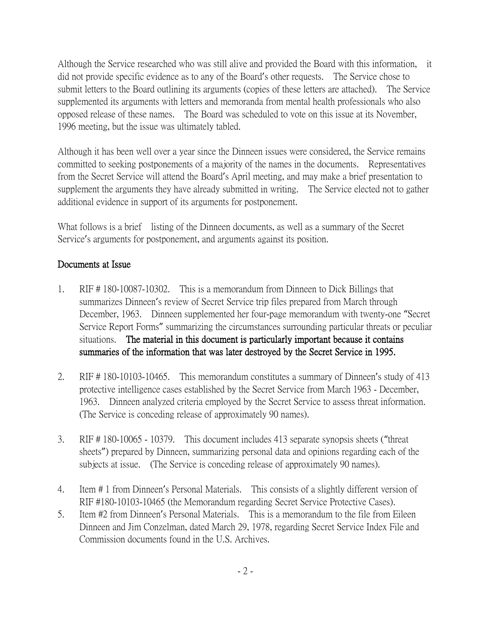Although the Service researched who was still alive and provided the Board with this information, it did not provide specific evidence as to any of the Board's other requests. The Service chose to submit letters to the Board outlining its arguments (copies of these letters are attached). The Service supplemented its arguments with letters and memoranda from mental health professionals who also opposed release of these names. The Board was scheduled to vote on this issue at its November, 1996 meeting, but the issue was ultimately tabled.

Although it has been well over a year since the Dinneen issues were considered, the Service remains committed to seeking postponements of a majority of the names in the documents. Representatives from the Secret Service will attend the Board's April meeting, and may make a brief presentation to supplement the arguments they have already submitted in writing. The Service elected not to gather additional evidence in support of its arguments for postponement.

What follows is a brief listing of the Dinneen documents, as well as a summary of the Secret Service's arguments for postponement, and arguments against its position.

## Documents at Issue

- 1. RIF # 180-10087-10302. This is a memorandum from Dinneen to Dick Billings that summarizes Dinneen's review of Secret Service trip files prepared from March through December, 1963. Dinneen supplemented her four-page memorandum with twenty-one "Secret Service Report Forms" summarizing the circumstances surrounding particular threats or peculiar situations. The material in this document is particularly important because it contains summaries of the information that was later destroyed by the Secret Service in 1995.
- 2. RIF # 180-10103-10465. This memorandum constitutes a summary of Dinneen's study of 413 protective intelligence cases established by the Secret Service from March 1963 - December, 1963. Dinneen analyzed criteria employed by the Secret Service to assess threat information. (The Service is conceding release of approximately 90 names).
- 3. RIF # 180-10065 10379. This document includes 413 separate synopsis sheets ("threat sheets") prepared by Dinneen, summarizing personal data and opinions regarding each of the subjects at issue. (The Service is conceding release of approximately 90 names).
- 4. Item # 1 from Dinneen's Personal Materials. This consists of a slightly different version of RIF #180-10103-10465 (the Memorandum regarding Secret Service Protective Cases).
- 5. Item #2 from Dinneen's Personal Materials. This is a memorandum to the file from Eileen Dinneen and Jim Conzelman, dated March 29, 1978, regarding Secret Service Index File and Commission documents found in the U.S. Archives.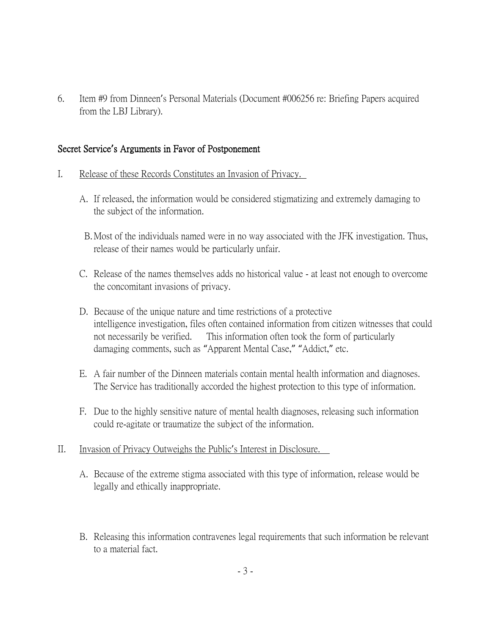6. Item #9 from Dinneen's Personal Materials (Document #006256 re: Briefing Papers acquired from the LBJ Library).

#### Secret Service**'**s Arguments in Favor of Postponement

- I. Release of these Records Constitutes an Invasion of Privacy.
	- A. If released, the information would be considered stigmatizing and extremely damaging to the subject of the information.
	- B.Most of the individuals named were in no way associated with the JFK investigation. Thus, release of their names would be particularly unfair.
	- C. Release of the names themselves adds no historical value at least not enough to overcome the concomitant invasions of privacy.
	- D. Because of the unique nature and time restrictions of a protective intelligence investigation, files often contained information from citizen witnesses that could not necessarily be verified. This information often took the form of particularly damaging comments, such as "Apparent Mental Case," "Addict," etc.
	- E. A fair number of the Dinneen materials contain mental health information and diagnoses. The Service has traditionally accorded the highest protection to this type of information.
	- F. Due to the highly sensitive nature of mental health diagnoses, releasing such information could re-agitate or traumatize the subject of the information.
- II. Invasion of Privacy Outweighs the Public's Interest in Disclosure.
	- A. Because of the extreme stigma associated with this type of information, release would be legally and ethically inappropriate.
	- B. Releasing this information contravenes legal requirements that such information be relevant to a material fact.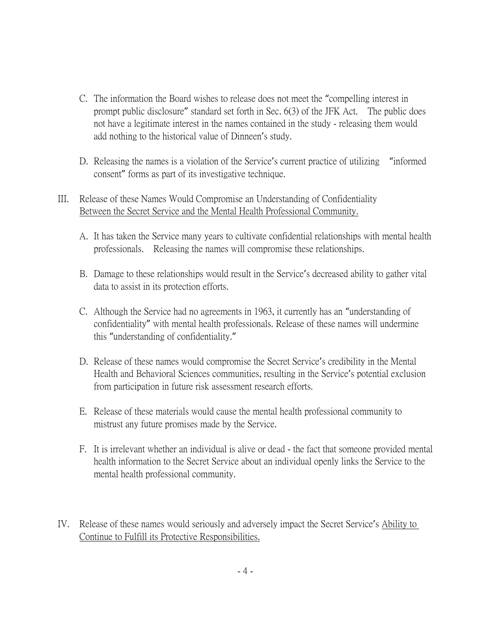- C. The information the Board wishes to release does not meet the "compelling interest in prompt public disclosure" standard set forth in Sec. 6(3) of the JFK Act. The public does not have a legitimate interest in the names contained in the study - releasing them would add nothing to the historical value of Dinneen's study.
- D. Releasing the names is a violation of the Service's current practice of utilizing "informed consent" forms as part of its investigative technique.

# III. Release of these Names Would Compromise an Understanding of Confidentiality Between the Secret Service and the Mental Health Professional Community.

- A. It has taken the Service many years to cultivate confidential relationships with mental health professionals. Releasing the names will compromise these relationships.
- B. Damage to these relationships would result in the Service's decreased ability to gather vital data to assist in its protection efforts.
- C. Although the Service had no agreements in 1963, it currently has an "understanding of confidentiality" with mental health professionals. Release of these names will undermine this "understanding of confidentiality."
- D. Release of these names would compromise the Secret Service's credibility in the Mental Health and Behavioral Sciences communities, resulting in the Service's potential exclusion from participation in future risk assessment research efforts.
- E. Release of these materials would cause the mental health professional community to mistrust any future promises made by the Service.
- F. It is irrelevant whether an individual is alive or dead the fact that someone provided mental health information to the Secret Service about an individual openly links the Service to the mental health professional community.
- IV. Release of these names would seriously and adversely impact the Secret Service's Ability to Continue to Fulfill its Protective Responsibilities.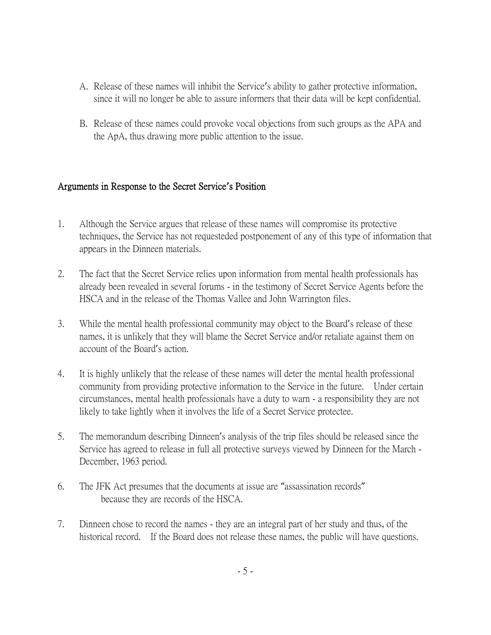- A. Release of these names will inhibit the Service's ability to gather protective information, since it will no longer be able to assure informers that their data will be kept confidential.
- B. Release of these names could provoke vocal objections from such groups as the APA and the ApA, thus drawing more public attention to the issue.

## Arguments in Response to the Secret Service**'**s Position

- 1. Although the Service argues that release of these names will compromise its protective techniques, the Service has not requesteded postponement of any of this type of information that appears in the Dinneen materials.
- 2. The fact that the Secret Service relies upon information from mental health professionals has already been revealed in several forums - in the testimony of Secret Service Agents before the HSCA and in the release of the Thomas Vallee and John Warrington files.
- 3. While the mental health professional community may object to the Board's release of these names, it is unlikely that they will blame the Secret Service and/or retaliate against them on account of the Board's action.
- 4. It is highly unlikely that the release of these names will deter the mental health professional community from providing protective information to the Service in the future. Under certain circumstances, mental health professionals have a duty to warn - a responsibility they are not likely to take lightly when it involves the life of a Secret Service protectee.
- 5. The memorandum describing Dinneen's analysis of the trip files should be released since the Service has agreed to release in full all protective surveys viewed by Dinneen for the March - December, 1963 period.
- 6. The JFK Act presumes that the documents at issue are "assassination records" because they are records of the HSCA.
- 7. Dinneen chose to record the names they are an integral part of her study and thus, of the historical record. If the Board does not release these names, the public will have questions.